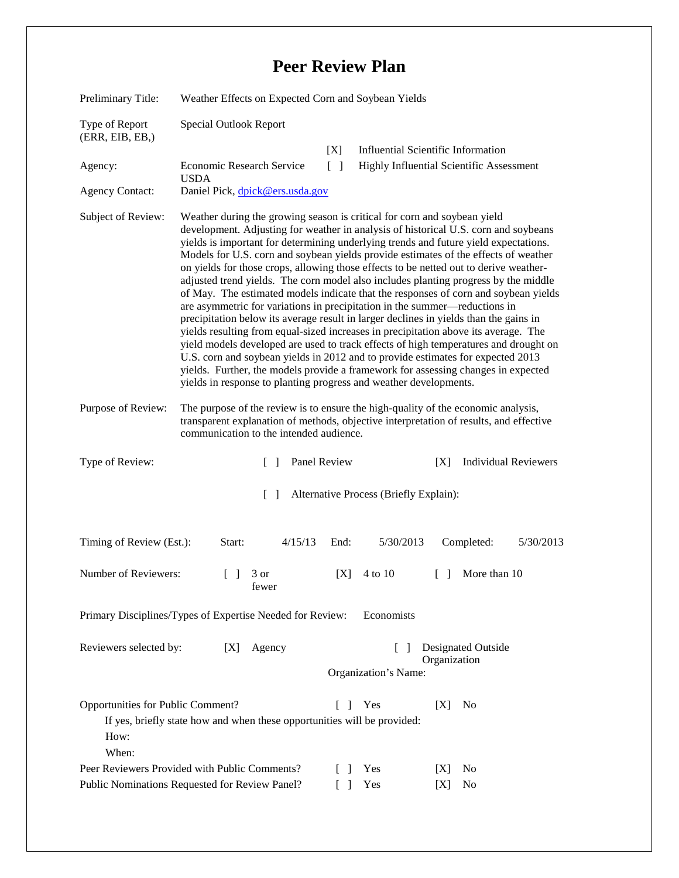## **Peer Review Plan**

| Preliminary Title:                                 | Weather Effects on Expected Corn and Soybean Yields                                                                                                                                                                                                                                                                                                                                                                                                                                                                                                                                                                                                                                                                                                                                                                                                                                                                                                                                                                                                                                                                                                                                                                      |                      |                                                    |  |
|----------------------------------------------------|--------------------------------------------------------------------------------------------------------------------------------------------------------------------------------------------------------------------------------------------------------------------------------------------------------------------------------------------------------------------------------------------------------------------------------------------------------------------------------------------------------------------------------------------------------------------------------------------------------------------------------------------------------------------------------------------------------------------------------------------------------------------------------------------------------------------------------------------------------------------------------------------------------------------------------------------------------------------------------------------------------------------------------------------------------------------------------------------------------------------------------------------------------------------------------------------------------------------------|----------------------|----------------------------------------------------|--|
| Type of Report<br>(ERR, EIB, EB, )                 | Special Outlook Report                                                                                                                                                                                                                                                                                                                                                                                                                                                                                                                                                                                                                                                                                                                                                                                                                                                                                                                                                                                                                                                                                                                                                                                                   |                      |                                                    |  |
|                                                    |                                                                                                                                                                                                                                                                                                                                                                                                                                                                                                                                                                                                                                                                                                                                                                                                                                                                                                                                                                                                                                                                                                                                                                                                                          | [X]                  | <b>Influential Scientific Information</b>          |  |
| Agency:                                            | Economic Research Service<br><b>USDA</b>                                                                                                                                                                                                                                                                                                                                                                                                                                                                                                                                                                                                                                                                                                                                                                                                                                                                                                                                                                                                                                                                                                                                                                                 | $\Box$               | Highly Influential Scientific Assessment           |  |
| <b>Agency Contact:</b>                             | Daniel Pick, dpick@ers.usda.gov                                                                                                                                                                                                                                                                                                                                                                                                                                                                                                                                                                                                                                                                                                                                                                                                                                                                                                                                                                                                                                                                                                                                                                                          |                      |                                                    |  |
| Subject of Review:                                 | Weather during the growing season is critical for corn and soybean yield<br>development. Adjusting for weather in analysis of historical U.S. corn and soybeans<br>yields is important for determining underlying trends and future yield expectations.<br>Models for U.S. corn and soybean yields provide estimates of the effects of weather<br>on yields for those crops, allowing those effects to be netted out to derive weather-<br>adjusted trend yields. The corn model also includes planting progress by the middle<br>of May. The estimated models indicate that the responses of corn and soybean yields<br>are asymmetric for variations in precipitation in the summer—reductions in<br>precipitation below its average result in larger declines in yields than the gains in<br>yields resulting from equal-sized increases in precipitation above its average. The<br>yield models developed are used to track effects of high temperatures and drought on<br>U.S. corn and soybean yields in 2012 and to provide estimates for expected 2013<br>yields. Further, the models provide a framework for assessing changes in expected<br>yields in response to planting progress and weather developments. |                      |                                                    |  |
| Purpose of Review:                                 | The purpose of the review is to ensure the high-quality of the economic analysis,<br>transparent explanation of methods, objective interpretation of results, and effective<br>communication to the intended audience.                                                                                                                                                                                                                                                                                                                                                                                                                                                                                                                                                                                                                                                                                                                                                                                                                                                                                                                                                                                                   |                      |                                                    |  |
| Type of Review:                                    | $\Box$                                                                                                                                                                                                                                                                                                                                                                                                                                                                                                                                                                                                                                                                                                                                                                                                                                                                                                                                                                                                                                                                                                                                                                                                                   | Panel Review         | <b>Individual Reviewers</b><br>[X]                 |  |
| Alternative Process (Briefly Explain):<br>$\Box$   |                                                                                                                                                                                                                                                                                                                                                                                                                                                                                                                                                                                                                                                                                                                                                                                                                                                                                                                                                                                                                                                                                                                                                                                                                          |                      |                                                    |  |
| Timing of Review (Est.):                           | Start:<br>4/15/13                                                                                                                                                                                                                                                                                                                                                                                                                                                                                                                                                                                                                                                                                                                                                                                                                                                                                                                                                                                                                                                                                                                                                                                                        | End:                 | 5/30/2013<br>Completed:<br>5/30/2013               |  |
| Number of Reviewers:                               | $\begin{bmatrix} 1 & 3 \end{bmatrix}$<br>fewer                                                                                                                                                                                                                                                                                                                                                                                                                                                                                                                                                                                                                                                                                                                                                                                                                                                                                                                                                                                                                                                                                                                                                                           | 4 to 10<br>[X]       | $\Box$<br>More than 10                             |  |
|                                                    | Primary Disciplines/Types of Expertise Needed for Review:                                                                                                                                                                                                                                                                                                                                                                                                                                                                                                                                                                                                                                                                                                                                                                                                                                                                                                                                                                                                                                                                                                                                                                | Economists           |                                                    |  |
| Reviewers selected by:                             | Agency<br>[X]                                                                                                                                                                                                                                                                                                                                                                                                                                                                                                                                                                                                                                                                                                                                                                                                                                                                                                                                                                                                                                                                                                                                                                                                            | Organization's Name: | Designated Outside<br>$\mathbf{I}$<br>Organization |  |
| Opportunities for Public Comment?<br>How:<br>When: | If yes, briefly state how and when these opportunities will be provided:                                                                                                                                                                                                                                                                                                                                                                                                                                                                                                                                                                                                                                                                                                                                                                                                                                                                                                                                                                                                                                                                                                                                                 | Yes<br>$\Box$        | N <sub>0</sub><br>[X]                              |  |
| Peer Reviewers Provided with Public Comments?      |                                                                                                                                                                                                                                                                                                                                                                                                                                                                                                                                                                                                                                                                                                                                                                                                                                                                                                                                                                                                                                                                                                                                                                                                                          | Yes                  | No<br> X                                           |  |
| Public Nominations Requested for Review Panel?     |                                                                                                                                                                                                                                                                                                                                                                                                                                                                                                                                                                                                                                                                                                                                                                                                                                                                                                                                                                                                                                                                                                                                                                                                                          |                      |                                                    |  |